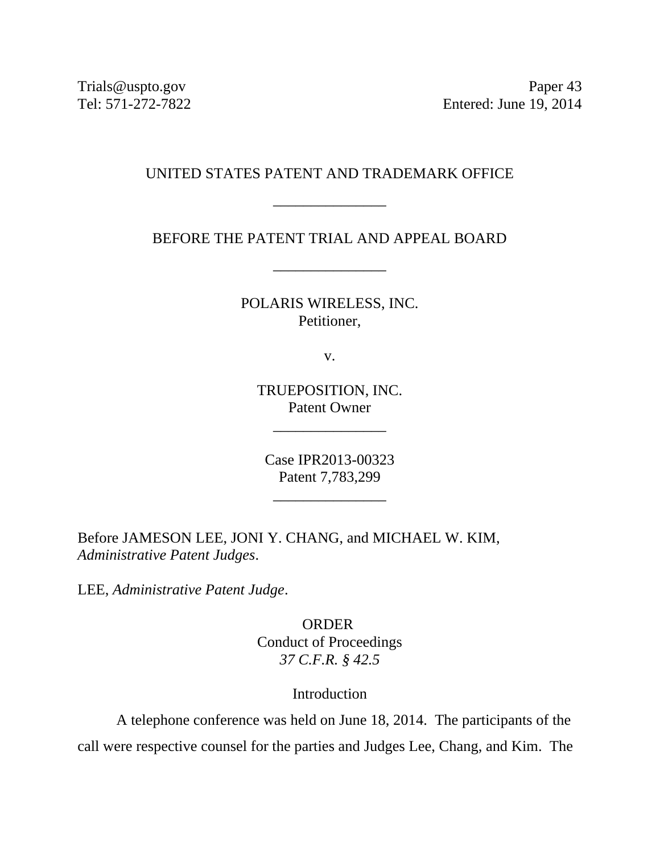Trials@uspto.gov Paper 43 Tel: 571-272-7822 Entered: June 19, 2014

# UNITED STATES PATENT AND TRADEMARK OFFICE

\_\_\_\_\_\_\_\_\_\_\_\_\_\_\_

BEFORE THE PATENT TRIAL AND APPEAL BOARD

\_\_\_\_\_\_\_\_\_\_\_\_\_\_\_

POLARIS WIRELESS, INC. Petitioner,

v.

TRUEPOSITION, INC. Patent Owner

\_\_\_\_\_\_\_\_\_\_\_\_\_\_\_

Case IPR2013-00323 Patent 7,783,299

\_\_\_\_\_\_\_\_\_\_\_\_\_\_\_

Before JAMESON LEE, JONI Y. CHANG, and MICHAEL W. KIM, *Administrative Patent Judges*.

LEE, *Administrative Patent Judge*.

ORDER Conduct of Proceedings *37 C.F.R. § 42.5*

## Introduction

A telephone conference was held on June 18, 2014. The participants of the call were respective counsel for the parties and Judges Lee, Chang, and Kim. The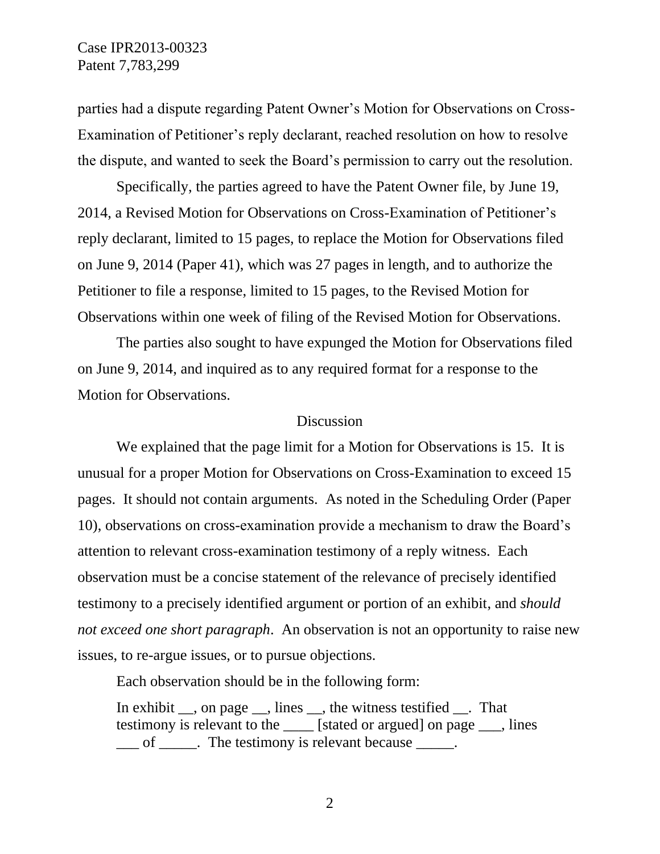parties had a dispute regarding Patent Owner's Motion for Observations on Cross-Examination of Petitioner's reply declarant, reached resolution on how to resolve the dispute, and wanted to seek the Board's permission to carry out the resolution.

Specifically, the parties agreed to have the Patent Owner file, by June 19, 2014, a Revised Motion for Observations on Cross-Examination of Petitioner's reply declarant, limited to 15 pages, to replace the Motion for Observations filed on June 9, 2014 (Paper 41), which was 27 pages in length, and to authorize the Petitioner to file a response, limited to 15 pages, to the Revised Motion for Observations within one week of filing of the Revised Motion for Observations.

The parties also sought to have expunged the Motion for Observations filed on June 9, 2014, and inquired as to any required format for a response to the Motion for Observations.

#### Discussion

We explained that the page limit for a Motion for Observations is 15. It is unusual for a proper Motion for Observations on Cross-Examination to exceed 15 pages. It should not contain arguments. As noted in the Scheduling Order (Paper 10), observations on cross-examination provide a mechanism to draw the Board's attention to relevant cross-examination testimony of a reply witness. Each observation must be a concise statement of the relevance of precisely identified testimony to a precisely identified argument or portion of an exhibit, and *should not exceed one short paragraph*. An observation is not an opportunity to raise new issues, to re-argue issues, or to pursue objections.

Each observation should be in the following form:

In exhibit \_\_, on page \_\_, lines \_\_, the witness testified \_\_. That testimony is relevant to the \_\_\_\_ [stated or argued] on page \_\_\_, lines \_\_\_ of \_\_\_\_\_. The testimony is relevant because \_\_\_\_\_.

2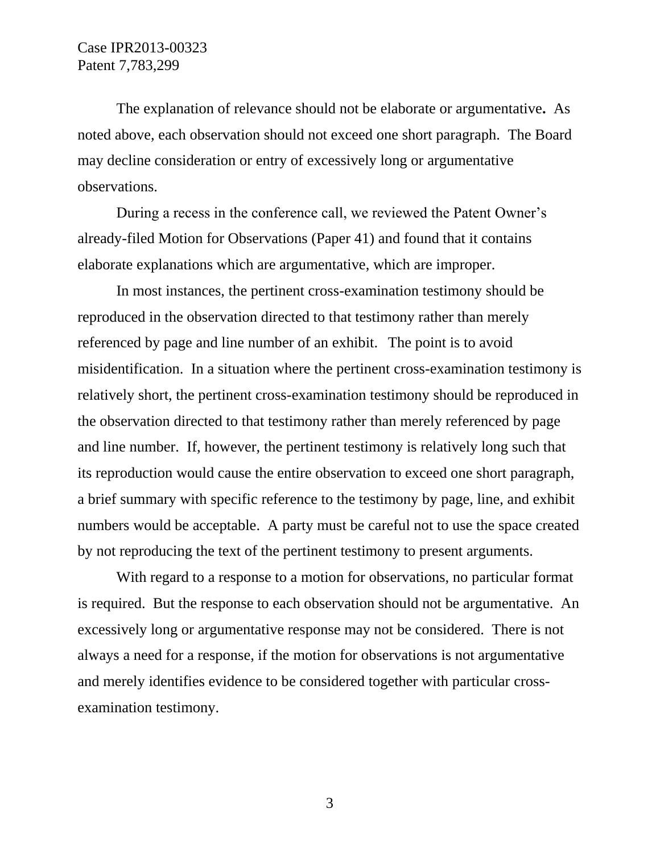The explanation of relevance should not be elaborate or argumentative**.** As noted above, each observation should not exceed one short paragraph.The Board may decline consideration or entry of excessively long or argumentative observations.

During a recess in the conference call, we reviewed the Patent Owner's already-filed Motion for Observations (Paper 41) and found that it contains elaborate explanations which are argumentative, which are improper.

In most instances, the pertinent cross-examination testimony should be reproduced in the observation directed to that testimony rather than merely referenced by page and line number of an exhibit. The point is to avoid misidentification. In a situation where the pertinent cross-examination testimony is relatively short, the pertinent cross-examination testimony should be reproduced in the observation directed to that testimony rather than merely referenced by page and line number. If, however, the pertinent testimony is relatively long such that its reproduction would cause the entire observation to exceed one short paragraph, a brief summary with specific reference to the testimony by page, line, and exhibit numbers would be acceptable. A party must be careful not to use the space created by not reproducing the text of the pertinent testimony to present arguments.

With regard to a response to a motion for observations, no particular format is required. But the response to each observation should not be argumentative. An excessively long or argumentative response may not be considered. There is not always a need for a response, if the motion for observations is not argumentative and merely identifies evidence to be considered together with particular crossexamination testimony.

3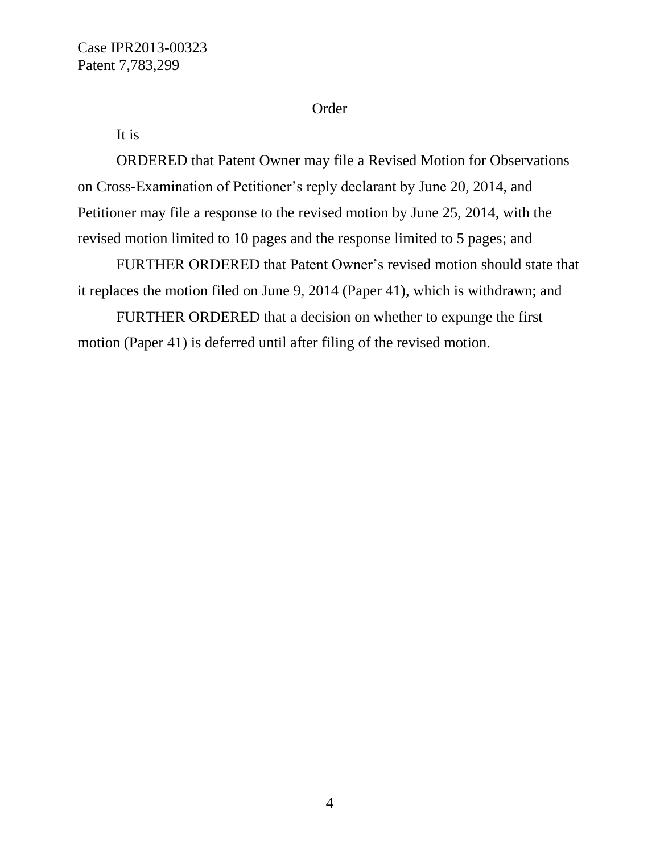# Order

It is

ORDERED that Patent Owner may file a Revised Motion for Observations on Cross-Examination of Petitioner's reply declarant by June 20, 2014, and Petitioner may file a response to the revised motion by June 25, 2014, with the revised motion limited to 10 pages and the response limited to 5 pages; and

FURTHER ORDERED that Patent Owner's revised motion should state that it replaces the motion filed on June 9, 2014 (Paper 41), which is withdrawn; and

FURTHER ORDERED that a decision on whether to expunge the first motion (Paper 41) is deferred until after filing of the revised motion.